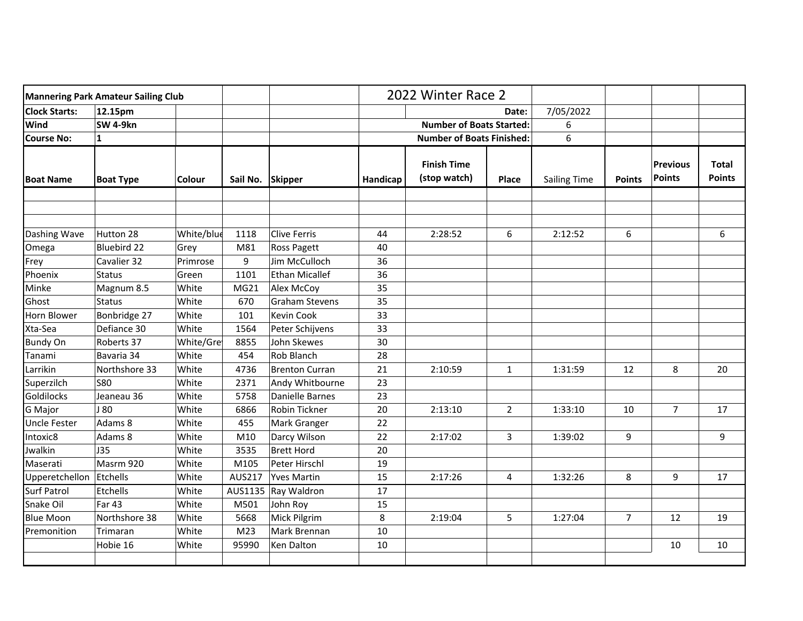| <b>Mannering Park Amateur Sailing Club</b> |                    |            |                  |                       | 2022 Winter Race 2 |                                    |                |                     |                |                                  |                               |
|--------------------------------------------|--------------------|------------|------------------|-----------------------|--------------------|------------------------------------|----------------|---------------------|----------------|----------------------------------|-------------------------------|
| <b>Clock Starts:</b>                       | 12.15pm            |            |                  |                       |                    | Date:                              |                | 7/05/2022           |                |                                  |                               |
| Wind                                       | SW 4-9kn           |            |                  |                       |                    | <b>Number of Boats Started:</b>    |                | 6                   |                |                                  |                               |
| <b>Course No:</b>                          | $\mathbf{1}$       |            |                  |                       |                    | <b>Number of Boats Finished:</b>   |                | 6                   |                |                                  |                               |
| <b>Boat Name</b>                           | <b>Boat Type</b>   | Colour     | Sail No. Skipper |                       | Handicap           | <b>Finish Time</b><br>(stop watch) | Place          | <b>Sailing Time</b> | <b>Points</b>  | <b>Previous</b><br><b>Points</b> | <b>Total</b><br><b>Points</b> |
|                                            |                    |            |                  |                       |                    |                                    |                |                     |                |                                  |                               |
| Dashing Wave                               | Hutton 28          | White/blue | 1118             | <b>Clive Ferris</b>   | 44                 | 2:28:52                            | 6              | 2:12:52             | 6              |                                  | 6                             |
| Omega                                      | <b>Bluebird 22</b> | Grey       | M81              | Ross Pagett           | 40                 |                                    |                |                     |                |                                  |                               |
| Frey                                       | Cavalier 32        | Primrose   | 9                | Jim McCulloch         | 36                 |                                    |                |                     |                |                                  |                               |
| Phoenix                                    | <b>Status</b>      | Green      | 1101             | <b>Ethan Micallef</b> | 36                 |                                    |                |                     |                |                                  |                               |
| Minke                                      | Magnum 8.5         | White      | MG21             | Alex McCoy            | 35                 |                                    |                |                     |                |                                  |                               |
| Ghost                                      | <b>Status</b>      | White      | 670              | <b>Graham Stevens</b> | 35                 |                                    |                |                     |                |                                  |                               |
| Horn Blower                                | Bonbridge 27       | White      | 101              | <b>Kevin Cook</b>     | 33                 |                                    |                |                     |                |                                  |                               |
| Xta-Sea                                    | Defiance 30        | White      | 1564             | Peter Schijvens       | 33                 |                                    |                |                     |                |                                  |                               |
| <b>Bundy On</b>                            | Roberts 37         | White/Gre  | 8855             | John Skewes           | 30                 |                                    |                |                     |                |                                  |                               |
| Tanami                                     | Bavaria 34         | White      | 454              | Rob Blanch            | 28                 |                                    |                |                     |                |                                  |                               |
| Larrikin                                   | Northshore 33      | White      | 4736             | <b>Brenton Curran</b> | 21                 | 2:10:59                            | $\mathbf{1}$   | 1:31:59             | 12             | 8                                | 20                            |
| Superzilch                                 | <b>S80</b>         | White      | 2371             | Andy Whitbourne       | 23                 |                                    |                |                     |                |                                  |                               |
| Goldilocks                                 | Jeaneau 36         | White      | 5758             | Danielle Barnes       | 23                 |                                    |                |                     |                |                                  |                               |
| G Major                                    | J 80               | White      | 6866             | Robin Tickner         | 20                 | 2:13:10                            | $\overline{2}$ | 1:33:10             | 10             | $\overline{7}$                   | 17                            |
| <b>Uncle Fester</b>                        | Adams 8            | White      | 455              | Mark Granger          | 22                 |                                    |                |                     |                |                                  |                               |
| Intoxic8                                   | Adams 8            | White      | M10              | Darcy Wilson          | 22                 | 2:17:02                            | 3              | 1:39:02             | 9              |                                  | 9                             |
| Jwalkin                                    | J35                | White      | 3535             | <b>Brett Hord</b>     | 20                 |                                    |                |                     |                |                                  |                               |
| Maserati                                   | Masrm 920          | White      | M105             | Peter Hirschl         | 19                 |                                    |                |                     |                |                                  |                               |
| Upperetchellon                             | Etchells           | White      | AUS217           | <b>Yves Martin</b>    | 15                 | 2:17:26                            | 4              | 1:32:26             | 8              | 9                                | 17                            |
| <b>Surf Patrol</b>                         | Etchells           | White      | AUS1135          | Ray Waldron           | 17                 |                                    |                |                     |                |                                  |                               |
| Snake Oil                                  | <b>Far 43</b>      | White      | M501             | John Roy              | 15                 |                                    |                |                     |                |                                  |                               |
| <b>Blue Moon</b>                           | Northshore 38      | White      | 5668             | Mick Pilgrim          | 8                  | 2:19:04                            | 5              | 1:27:04             | $\overline{7}$ | 12                               | 19                            |
| Premonition                                | Trimaran           | White      | M <sub>23</sub>  | Mark Brennan          | 10                 |                                    |                |                     |                |                                  |                               |
|                                            | Hobie 16           | White      | 95990            | Ken Dalton            | 10                 |                                    |                |                     |                | 10                               | 10                            |